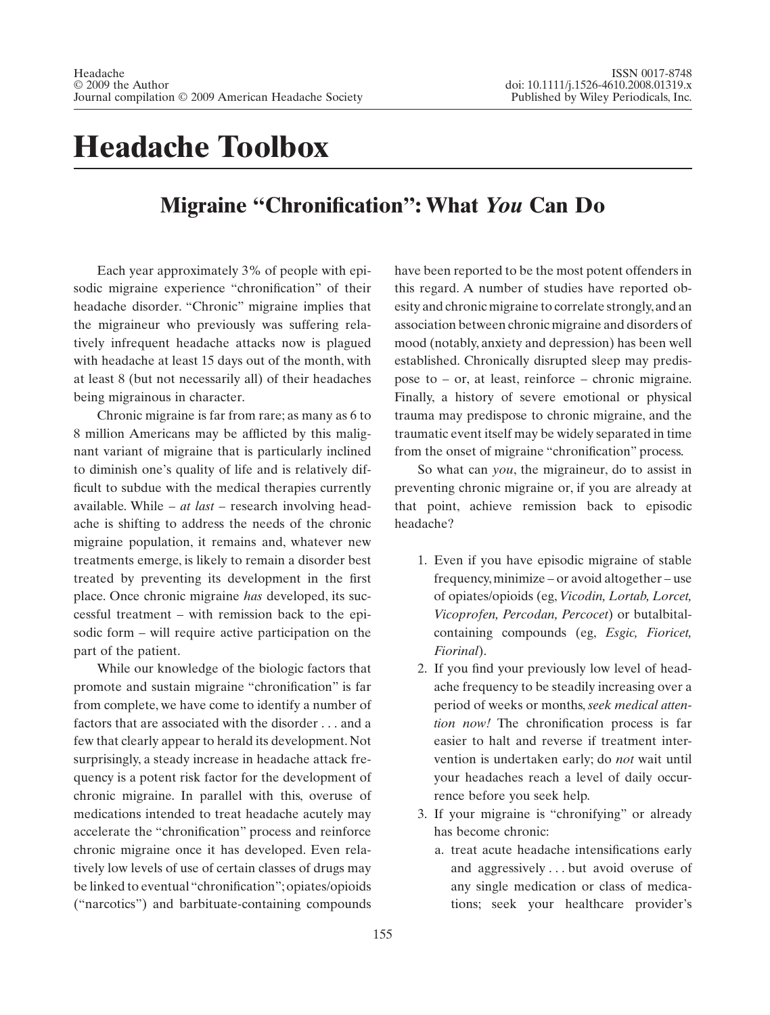## **Headache Toolbox**

## **Migraine "Chronification": What** *You* **Can Do**

Each year approximately 3% of people with episodic migraine experience "chronification" of their headache disorder. "Chronic" migraine implies that the migraineur who previously was suffering relatively infrequent headache attacks now is plagued with headache at least 15 days out of the month, with at least 8 (but not necessarily all) of their headaches being migrainous in character.

Chronic migraine is far from rare; as many as 6 to 8 million Americans may be afflicted by this malignant variant of migraine that is particularly inclined to diminish one's quality of life and is relatively difficult to subdue with the medical therapies currently available. While – *at last* – research involving headache is shifting to address the needs of the chronic migraine population, it remains and, whatever new treatments emerge, is likely to remain a disorder best treated by preventing its development in the first place. Once chronic migraine *has* developed, its successful treatment – with remission back to the episodic form – will require active participation on the part of the patient.

While our knowledge of the biologic factors that promote and sustain migraine "chronification" is far from complete, we have come to identify a number of factors that are associated with the disorder . . . and a few that clearly appear to herald its development. Not surprisingly, a steady increase in headache attack frequency is a potent risk factor for the development of chronic migraine. In parallel with this, overuse of medications intended to treat headache acutely may accelerate the "chronification" process and reinforce chronic migraine once it has developed. Even relatively low levels of use of certain classes of drugs may be linked to eventual "chronification"; opiates/opioids ("narcotics") and barbituate-containing compounds

have been reported to be the most potent offenders in this regard. A number of studies have reported obesity and chronic migraine to correlate strongly, and an association between chronic migraine and disorders of mood (notably, anxiety and depression) has been well established. Chronically disrupted sleep may predispose to – or, at least, reinforce – chronic migraine. Finally, a history of severe emotional or physical trauma may predispose to chronic migraine, and the traumatic event itself may be widely separated in time from the onset of migraine "chronification" process.

So what can *you*, the migraineur, do to assist in preventing chronic migraine or, if you are already at that point, achieve remission back to episodic headache?

- 1. Even if you have episodic migraine of stable frequency,minimize – or avoid altogether – use of opiates/opioids (eg, *Vicodin, Lortab, Lorcet, Vicoprofen, Percodan, Percocet*) or butalbitalcontaining compounds (eg, *Esgic, Fioricet, Fiorinal*).
- 2. If you find your previously low level of headache frequency to be steadily increasing over a period of weeks or months,*seek medical attention now!* The chronification process is far easier to halt and reverse if treatment intervention is undertaken early; do *not* wait until your headaches reach a level of daily occurrence before you seek help.
- 3. If your migraine is "chronifying" or already has become chronic:
	- a. treat acute headache intensifications early and aggressively . . . but avoid overuse of any single medication or class of medications; seek your healthcare provider's